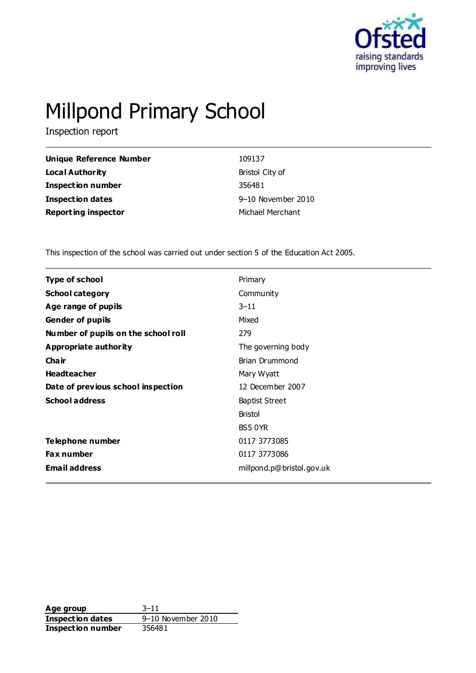

# Millpond Primary School

Inspection report

| Unique Reference Number    | 109137             |
|----------------------------|--------------------|
| Local Authority            | Bristol City of    |
| <b>Inspection number</b>   | 356481             |
| Inspection dates           | 9-10 November 2010 |
| <b>Reporting inspector</b> | Michael Merchant   |

This inspection of the school was carried out under section 5 of the Education Act 2005.

| <b>Type of school</b>               | Primary                   |
|-------------------------------------|---------------------------|
| <b>School category</b>              | Community                 |
| Age range of pupils                 | $3 - 11$                  |
| <b>Gender of pupils</b>             | Mixed                     |
| Number of pupils on the school roll | 279                       |
| <b>Appropriate authority</b>        | The governing body        |
| Cha ir                              | Brian Drummond            |
| <b>Headteacher</b>                  | Mary Wyatt                |
| Date of previous school inspection  | 12 December 2007          |
| <b>School address</b>               | <b>Baptist Street</b>     |
|                                     | <b>Bristol</b>            |
|                                     | BS5 0YR                   |
| Telephone number                    | 0117 3773085              |
| <b>Fax number</b>                   | 0117 3773086              |
| <b>Email address</b>                | millpond.p@bristol.gov.uk |

**Age group** 3–11 **Inspection dates** 9–10 November 2010<br>**Inspection number** 356481 **Inspection number**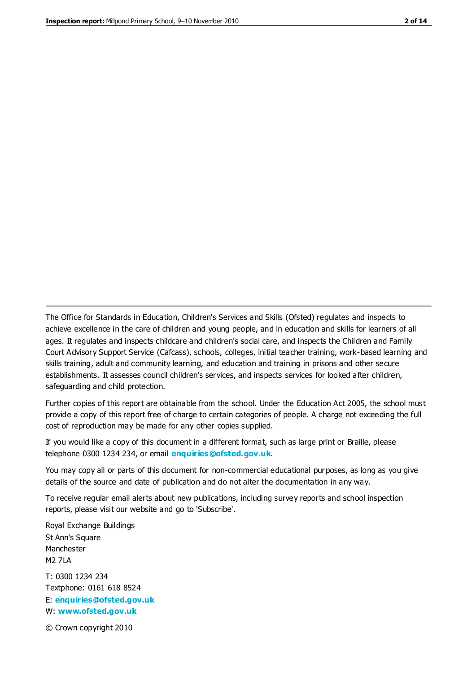The Office for Standards in Education, Children's Services and Skills (Ofsted) regulates and inspects to achieve excellence in the care of children and young people, and in education and skills for learners of all ages. It regulates and inspects childcare and children's social care, and inspects the Children and Family Court Advisory Support Service (Cafcass), schools, colleges, initial teacher training, work-based learning and skills training, adult and community learning, and education and training in prisons and other secure establishments. It assesses council children's services, and inspects services for looked after children, safeguarding and child protection.

Further copies of this report are obtainable from the school. Under the Education Act 2005, the school must provide a copy of this report free of charge to certain categories of people. A charge not exceeding the full cost of reproduction may be made for any other copies supplied.

If you would like a copy of this document in a different format, such as large print or Braille, please telephone 0300 1234 234, or email **[enquiries@ofsted.gov.uk](mailto:enquiries@ofsted.gov.uk)**.

You may copy all or parts of this document for non-commercial educational purposes, as long as you give details of the source and date of publication and do not alter the documentation in any way.

To receive regular email alerts about new publications, including survey reports and school inspection reports, please visit our website and go to 'Subscribe'.

Royal Exchange Buildings St Ann's Square Manchester M2 7LA T: 0300 1234 234 Textphone: 0161 618 8524 E: **[enquiries@ofsted.gov.uk](mailto:enquiries@ofsted.gov.uk)**

W: **[www.ofsted.gov.uk](http://www.ofsted.gov.uk/)**

© Crown copyright 2010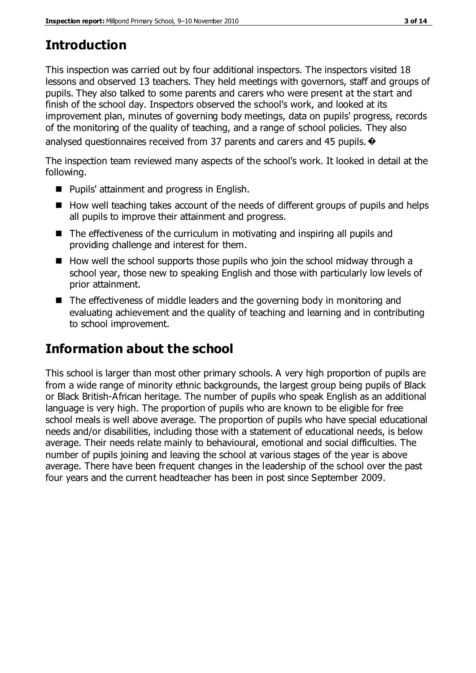# **Introduction**

This inspection was carried out by four additional inspectors. The inspectors visited 18 lessons and observed 13 teachers. They held meetings with governors, staff and groups of pupils. They also talked to some parents and carers who were present at the start and finish of the school day. Inspectors observed the school's work, and looked at its improvement plan, minutes of governing body meetings, data on pupils' progress, records of the monitoring of the quality of teaching, and a range of school policies. They also analysed questionnaires received from 37 parents and carers and 45 pupils.  $\odot$ 

The inspection team reviewed many aspects of the school's work. It looked in detail at the following.

- Pupils' attainment and progress in English.
- $\blacksquare$  How well teaching takes account of the needs of different groups of pupils and helps all pupils to improve their attainment and progress.
- The effectiveness of the curriculum in motivating and inspiring all pupils and providing challenge and interest for them.
- $\blacksquare$  How well the school supports those pupils who join the school midway through a school year, those new to speaking English and those with particularly low levels of prior attainment.
- The effectiveness of middle leaders and the governing body in monitoring and evaluating achievement and the quality of teaching and learning and in contributing to school improvement.

# **Information about the school**

This school is larger than most other primary schools. A very high proportion of pupils are from a wide range of minority ethnic backgrounds, the largest group being pupils of Black or Black British-African heritage. The number of pupils who speak English as an additional language is very high. The proportion of pupils who are known to be eligible for free school meals is well above average. The proportion of pupils who have special educational needs and/or disabilities, including those with a statement of educational needs, is below average. Their needs relate mainly to behavioural, emotional and social difficulties. The number of pupils joining and leaving the school at various stages of the year is above average. There have been frequent changes in the leadership of the school over the past four years and the current headteacher has been in post since September 2009.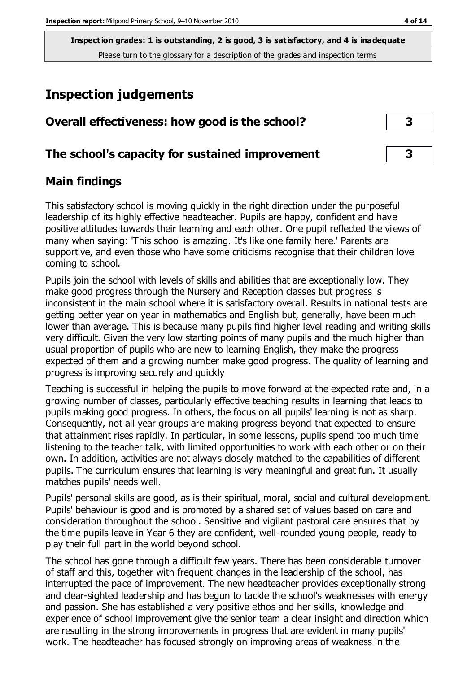# **Inspection judgements**

| Overall effectiveness: how good is the school?  |  |
|-------------------------------------------------|--|
| The school's capacity for sustained improvement |  |

#### **Main findings**

This satisfactory school is moving quickly in the right direction under the purposeful leadership of its highly effective headteacher. Pupils are happy, confident and have positive attitudes towards their learning and each other. One pupil reflected the views of many when saying: 'This school is amazing. It's like one family here.' Parents are supportive, and even those who have some criticisms recognise that their children love coming to school.

Pupils join the school with levels of skills and abilities that are exceptionally low. They make good progress through the Nursery and Reception classes but progress is inconsistent in the main school where it is satisfactory overall. Results in national tests are getting better year on year in mathematics and English but, generally, have been much lower than average. This is because many pupils find higher level reading and writing skills very difficult. Given the very low starting points of many pupils and the much higher than usual proportion of pupils who are new to learning English, they make the progress expected of them and a growing number make good progress. The quality of learning and progress is improving securely and quickly

Teaching is successful in helping the pupils to move forward at the expected rate and, in a growing number of classes, particularly effective teaching results in learning that leads to pupils making good progress. In others, the focus on all pupils' learning is not as sharp. Consequently, not all year groups are making progress beyond that expected to ensure that attainment rises rapidly. In particular, in some lessons, pupils spend too much time listening to the teacher talk, with limited opportunities to work with each other or on their own. In addition, activities are not always closely matched to the capabilities of different pupils. The curriculum ensures that learning is very meaningful and great fun. It usually matches pupils' needs well.

Pupils' personal skills are good, as is their spiritual, moral, social and cultural development. Pupils' behaviour is good and is promoted by a shared set of values based on care and consideration throughout the school. Sensitive and vigilant pastoral care ensures that by the time pupils leave in Year 6 they are confident, well-rounded young people, ready to play their full part in the world beyond school.

The school has gone through a difficult few years. There has been considerable turnover of staff and this, together with frequent changes in the leadership of the school, has interrupted the pace of improvement. The new headteacher provides exceptionally strong and clear-sighted leadership and has begun to tackle the school's weaknesses with energy and passion. She has established a very positive ethos and her skills, knowledge and experience of school improvement give the senior team a clear insight and direction which are resulting in the strong improvements in progress that are evident in many pupils' work. The headteacher has focused strongly on improving areas of weakness in the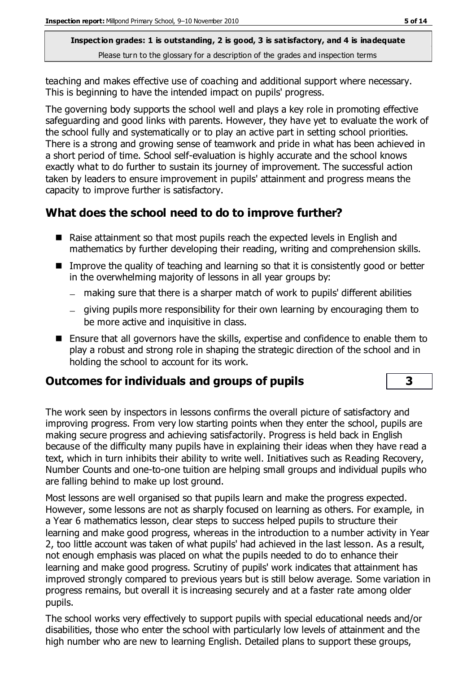teaching and makes effective use of coaching and additional support where necessary. This is beginning to have the intended impact on pupils' progress.

The governing body supports the school well and plays a key role in promoting effective safeguarding and good links with parents. However, they have yet to evaluate the work of the school fully and systematically or to play an active part in setting school priorities. There is a strong and growing sense of teamwork and pride in what has been achieved in a short period of time. School self-evaluation is highly accurate and the school knows exactly what to do further to sustain its journey of improvement. The successful action taken by leaders to ensure improvement in pupils' attainment and progress means the capacity to improve further is satisfactory.

#### **What does the school need to do to improve further?**

- Raise attainment so that most pupils reach the expected levels in English and mathematics by further developing their reading, writing and comprehension skills.
- Improve the quality of teaching and learning so that it is consistently good or better in the overwhelming majority of lessons in all year groups by:
	- making sure that there is a sharper match of work to pupils' different abilities
	- giving pupils more responsibility for their own learning by encouraging them to be more active and inquisitive in class.
- Ensure that all governors have the skills, expertise and confidence to enable them to play a robust and strong role in shaping the strategic direction of the school and in holding the school to account for its work.

### **Outcomes for individuals and groups of pupils 3**

The work seen by inspectors in lessons confirms the overall picture of satisfactory and improving progress. From very low starting points when they enter the school, pupils are making secure progress and achieving satisfactorily. Progress is held back in English because of the difficulty many pupils have in explaining their ideas when they have read a text, which in turn inhibits their ability to write well. Initiatives such as Reading Recovery, Number Counts and one-to-one tuition are helping small groups and individual pupils who are falling behind to make up lost ground.

Most lessons are well organised so that pupils learn and make the progress expected. However, some lessons are not as sharply focused on learning as others. For example, in a Year 6 mathematics lesson, clear steps to success helped pupils to structure their learning and make good progress, whereas in the introduction to a number activity in Year 2, too little account was taken of what pupils' had achieved in the last lesson. As a result, not enough emphasis was placed on what the pupils needed to do to enhance their learning and make good progress. Scrutiny of pupils' work indicates that attainment has improved strongly compared to previous years but is still below average. Some variation in progress remains, but overall it is increasing securely and at a faster rate among older pupils.

The school works very effectively to support pupils with special educational needs and/or disabilities, those who enter the school with particularly low levels of attainment and the high number who are new to learning English. Detailed plans to support these groups,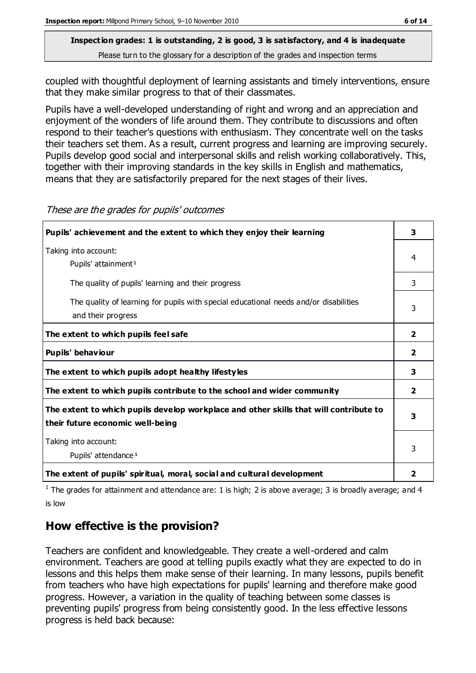coupled with thoughtful deployment of learning assistants and timely interventions, ensure that they make similar progress to that of their classmates.

Pupils have a well-developed understanding of right and wrong and an appreciation and enjoyment of the wonders of life around them. They contribute to discussions and often respond to their teacher's questions with enthusiasm. They concentrate well on the tasks their teachers set them. As a result, current progress and learning are improving securely. Pupils develop good social and interpersonal skills and relish working collaboratively. This, together with their improving standards in the key skills in English and mathematics, means that they are satisfactorily prepared for the next stages of their lives.

| Pupils' achievement and the extent to which they enjoy their learning                                                     |                         |
|---------------------------------------------------------------------------------------------------------------------------|-------------------------|
| Taking into account:<br>Pupils' attainment <sup>1</sup>                                                                   | 4                       |
| The quality of pupils' learning and their progress                                                                        | 3                       |
| The quality of learning for pupils with special educational needs and/or disabilities<br>and their progress               | 3                       |
| The extent to which pupils feel safe                                                                                      | $\overline{2}$          |
| Pupils' behaviour                                                                                                         | $\overline{2}$          |
| The extent to which pupils adopt healthy lifestyles                                                                       | 3                       |
| The extent to which pupils contribute to the school and wider community                                                   | $\overline{2}$          |
| The extent to which pupils develop workplace and other skills that will contribute to<br>their future economic well-being | 3                       |
| Taking into account:<br>Pupils' attendance <sup>1</sup>                                                                   | 3                       |
| The extent of pupils' spiritual, moral, social and cultural development                                                   | $\overline{\mathbf{2}}$ |

These are the grades for pupils' outcomes

<sup>1</sup> The grades for attainment and attendance are: 1 is high; 2 is above average; 3 is broadly average; and 4 is low

### **How effective is the provision?**

Teachers are confident and knowledgeable. They create a well-ordered and calm environment. Teachers are good at telling pupils exactly what they are expected to do in lessons and this helps them make sense of their learning. In many lessons, pupils benefit from teachers who have high expectations for pupils' learning and therefore make good progress. However, a variation in the quality of teaching between some classes is preventing pupils' progress from being consistently good. In the less effective lessons progress is held back because: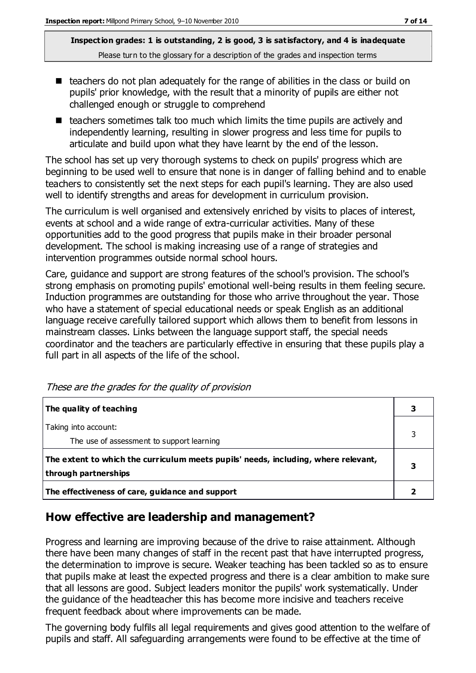- $\blacksquare$  teachers do not plan adequately for the range of abilities in the class or build on pupils' prior knowledge, with the result that a minority of pupils are either not challenged enough or struggle to comprehend
- $\blacksquare$  teachers sometimes talk too much which limits the time pupils are actively and independently learning, resulting in slower progress and less time for pupils to articulate and build upon what they have learnt by the end of the lesson.

The school has set up very thorough systems to check on pupils' progress which are beginning to be used well to ensure that none is in danger of falling behind and to enable teachers to consistently set the next steps for each pupil's learning. They are also used well to identify strengths and areas for development in curriculum provision.

The curriculum is well organised and extensively enriched by visits to places of interest, events at school and a wide range of extra-curricular activities. Many of these opportunities add to the good progress that pupils make in their broader personal development. The school is making increasing use of a range of strategies and intervention programmes outside normal school hours.

Care, guidance and support are strong features of the school's provision. The school's strong emphasis on promoting pupils' emotional well-being results in them feeling secure. Induction programmes are outstanding for those who arrive throughout the year. Those who have a statement of special educational needs or speak English as an additional language receive carefully tailored support which allows them to benefit from lessons in mainstream classes. Links between the language support staff, the special needs coordinator and the teachers are particularly effective in ensuring that these pupils play a full part in all aspects of the life of the school.

| The quality of teaching                                                                                    |  |
|------------------------------------------------------------------------------------------------------------|--|
| Taking into account:<br>The use of assessment to support learning                                          |  |
| The extent to which the curriculum meets pupils' needs, including, where relevant,<br>through partnerships |  |
| The effectiveness of care, guidance and support                                                            |  |

These are the grades for the quality of provision

#### **How effective are leadership and management?**

Progress and learning are improving because of the drive to raise attainment. Although there have been many changes of staff in the recent past that have interrupted progress, the determination to improve is secure. Weaker teaching has been tackled so as to ensure that pupils make at least the expected progress and there is a clear ambition to make sure that all lessons are good. Subject leaders monitor the pupils' work systematically. Under the guidance of the headteacher this has become more incisive and teachers receive frequent feedback about where improvements can be made.

The governing body fulfils all legal requirements and gives good attention to the welfare of pupils and staff. All safeguarding arrangements were found to be effective at the time of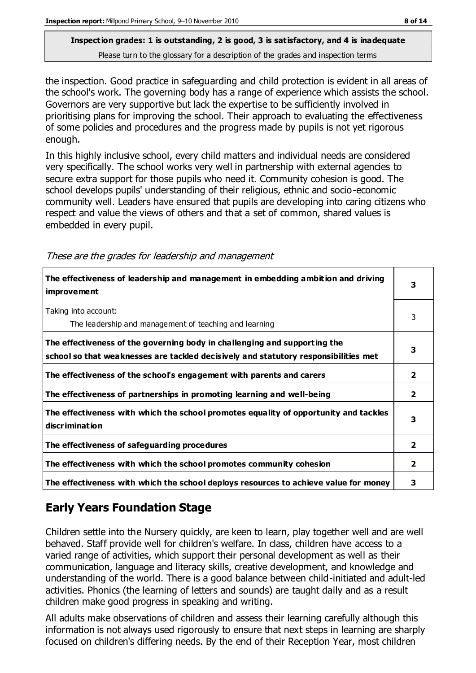the inspection. Good practice in safeguarding and child protection is evident in all areas of the school's work. The governing body has a range of experience which assists the school. Governors are very supportive but lack the expertise to be sufficiently involved in prioritising plans for improving the school. Their approach to evaluating the effectiveness of some policies and procedures and the progress made by pupils is not yet rigorous enough.

In this highly inclusive school, every child matters and individual needs are considered very specifically. The school works very well in partnership with external agencies to secure extra support for those pupils who need it. Community cohesion is good. The school develops pupils' understanding of their religious, ethnic and socio-economic community well. Leaders have ensured that pupils are developing into caring citizens who respect and value the views of others and that a set of common, shared values is embedded in every pupil.

These are the grades for leadership and management

| The effectiveness of leadership and management in embedding ambition and driving<br><i>improvement</i>                                                           | 3              |
|------------------------------------------------------------------------------------------------------------------------------------------------------------------|----------------|
| Taking into account:<br>The leadership and management of teaching and learning                                                                                   | 3              |
| The effectiveness of the governing body in challenging and supporting the<br>school so that weaknesses are tackled decisively and statutory responsibilities met | 3              |
| The effectiveness of the school's engagement with parents and carers                                                                                             | $\mathbf{2}$   |
| The effectiveness of partnerships in promoting learning and well-being                                                                                           | $\mathbf{2}$   |
| The effectiveness with which the school promotes equality of opportunity and tackles<br>discrimination                                                           | 3              |
| The effectiveness of safeguarding procedures                                                                                                                     | $\overline{2}$ |
| The effectiveness with which the school promotes community cohesion                                                                                              | $\mathbf{2}$   |
| The effectiveness with which the school deploys resources to achieve value for money                                                                             | 3              |

### **Early Years Foundation Stage**

Children settle into the Nursery quickly, are keen to learn, play together well and are well behaved. Staff provide well for children's welfare. In class, children have access to a varied range of activities, which support their personal development as well as their communication, language and literacy skills, creative development, and knowledge and understanding of the world. There is a good balance between child-initiated and adult-led activities. Phonics (the learning of letters and sounds) are taught daily and as a result children make good progress in speaking and writing.

All adults make observations of children and assess their learning carefully although this information is not always used rigorously to ensure that next steps in learning are sharply focused on children's differing needs. By the end of their Reception Year, most children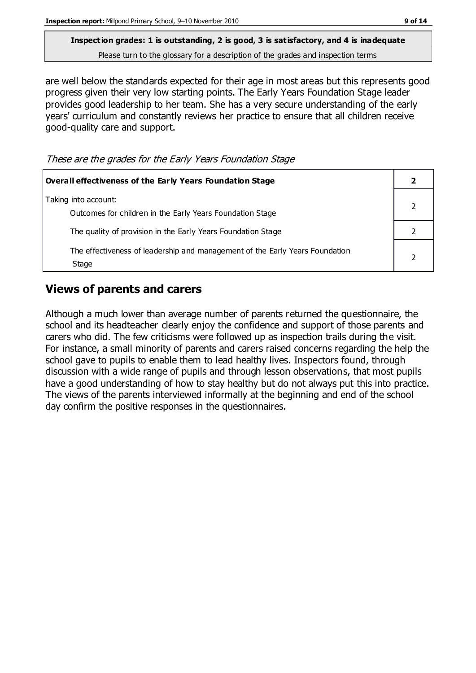are well below the standards expected for their age in most areas but this represents good progress given their very low starting points. The Early Years Foundation Stage leader provides good leadership to her team. She has a very secure understanding of the early years' curriculum and constantly reviews her practice to ensure that all children receive good-quality care and support.

These are the grades for the Early Years Foundation Stage

| <b>Overall effectiveness of the Early Years Foundation Stage</b>                      |  |
|---------------------------------------------------------------------------------------|--|
| Taking into account:<br>Outcomes for children in the Early Years Foundation Stage     |  |
| The quality of provision in the Early Years Foundation Stage                          |  |
| The effectiveness of leadership and management of the Early Years Foundation<br>Stage |  |

#### **Views of parents and carers**

Although a much lower than average number of parents returned the questionnaire, the school and its headteacher clearly enjoy the confidence and support of those parents and carers who did. The few criticisms were followed up as inspection trails during the visit. For instance, a small minority of parents and carers raised concerns regarding the help the school gave to pupils to enable them to lead healthy lives. Inspectors found, through discussion with a wide range of pupils and through lesson observations, that most pupils have a good understanding of how to stay healthy but do not always put this into practice. The views of the parents interviewed informally at the beginning and end of the school day confirm the positive responses in the questionnaires.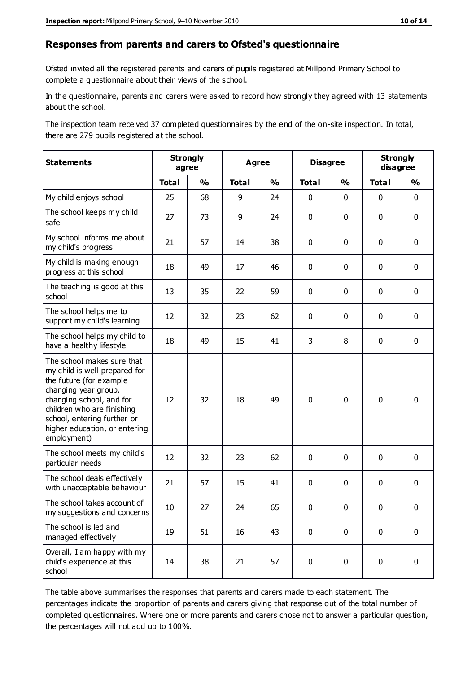#### **Responses from parents and carers to Ofsted's questionnaire**

Ofsted invited all the registered parents and carers of pupils registered at Millpond Primary School to complete a questionnaire about their views of the school.

In the questionnaire, parents and carers were asked to record how strongly they agreed with 13 statements about the school.

The inspection team received 37 completed questionnaires by the end of the on-site inspection. In total, there are 279 pupils registered at the school.

| <b>Statements</b>                                                                                                                                                                                                                                       |              | <b>Strongly</b><br>agree | <b>Agree</b> |               | <b>Disagree</b> |               | <b>Strongly</b><br>disagree |               |
|---------------------------------------------------------------------------------------------------------------------------------------------------------------------------------------------------------------------------------------------------------|--------------|--------------------------|--------------|---------------|-----------------|---------------|-----------------------------|---------------|
|                                                                                                                                                                                                                                                         | <b>Total</b> | $\frac{0}{0}$            | <b>Total</b> | $\frac{0}{0}$ | <b>Total</b>    | $\frac{0}{0}$ | <b>Total</b>                | $\frac{0}{0}$ |
| My child enjoys school                                                                                                                                                                                                                                  | 25           | 68                       | 9            | 24            | 0               | 0             | $\mathbf 0$                 | $\mathbf 0$   |
| The school keeps my child<br>safe                                                                                                                                                                                                                       | 27           | 73                       | 9            | 24            | 0               | 0             | $\mathbf 0$                 | $\mathbf 0$   |
| My school informs me about<br>my child's progress                                                                                                                                                                                                       | 21           | 57                       | 14           | 38            | 0               | $\mathbf 0$   | $\mathbf 0$                 | $\mathbf 0$   |
| My child is making enough<br>progress at this school                                                                                                                                                                                                    | 18           | 49                       | 17           | 46            | 0               | 0             | $\mathbf 0$                 | $\mathbf 0$   |
| The teaching is good at this<br>school                                                                                                                                                                                                                  | 13           | 35                       | 22           | 59            | 0               | 0             | $\mathbf{0}$                | $\mathbf 0$   |
| The school helps me to<br>support my child's learning                                                                                                                                                                                                   | 12           | 32                       | 23           | 62            | 0               | 0             | $\mathbf 0$                 | $\mathbf 0$   |
| The school helps my child to<br>have a healthy lifestyle                                                                                                                                                                                                | 18           | 49                       | 15           | 41            | 3               | 8             | 0                           | $\mathbf 0$   |
| The school makes sure that<br>my child is well prepared for<br>the future (for example<br>changing year group,<br>changing school, and for<br>children who are finishing<br>school, entering further or<br>higher education, or entering<br>employment) | 12           | 32                       | 18           | 49            | 0               | $\mathbf 0$   | $\mathbf 0$                 | $\mathbf 0$   |
| The school meets my child's<br>particular needs                                                                                                                                                                                                         | 12           | 32                       | 23           | 62            | 0               | 0             | $\mathbf 0$                 | $\mathbf 0$   |
| The school deals effectively<br>with unacceptable behaviour                                                                                                                                                                                             | 21           | 57                       | 15           | 41            | 0               | 0             | $\mathbf 0$                 | $\mathbf 0$   |
| The school takes account of<br>my suggestions and concerns                                                                                                                                                                                              | 10           | 27                       | 24           | 65            | 0               | 0             | 0                           | 0             |
| The school is led and<br>managed effectively                                                                                                                                                                                                            | 19           | 51                       | 16           | 43            | 0               | $\mathbf 0$   | $\mathbf 0$                 | $\mathbf 0$   |
| Overall, I am happy with my<br>child's experience at this<br>school                                                                                                                                                                                     | 14           | 38                       | 21           | 57            | 0               | 0             | $\pmb{0}$                   | $\pmb{0}$     |

The table above summarises the responses that parents and carers made to each statement. The percentages indicate the proportion of parents and carers giving that response out of the total number of completed questionnaires. Where one or more parents and carers chose not to answer a particular question, the percentages will not add up to 100%.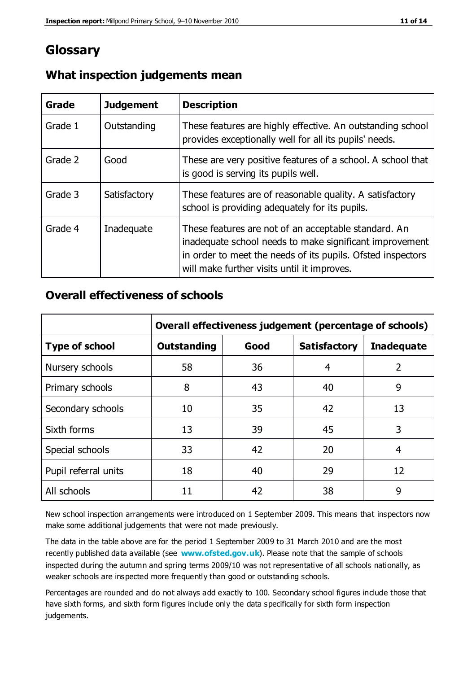## **Glossary**

| Grade   | <b>Judgement</b> | <b>Description</b>                                                                                                                                                                                                            |
|---------|------------------|-------------------------------------------------------------------------------------------------------------------------------------------------------------------------------------------------------------------------------|
| Grade 1 | Outstanding      | These features are highly effective. An outstanding school<br>provides exceptionally well for all its pupils' needs.                                                                                                          |
| Grade 2 | Good             | These are very positive features of a school. A school that<br>is good is serving its pupils well.                                                                                                                            |
| Grade 3 | Satisfactory     | These features are of reasonable quality. A satisfactory<br>school is providing adequately for its pupils.                                                                                                                    |
| Grade 4 | Inadequate       | These features are not of an acceptable standard. An<br>inadequate school needs to make significant improvement<br>in order to meet the needs of its pupils. Ofsted inspectors<br>will make further visits until it improves. |

#### **What inspection judgements mean**

#### **Overall effectiveness of schools**

|                       | Overall effectiveness judgement (percentage of schools) |      |                     |                   |
|-----------------------|---------------------------------------------------------|------|---------------------|-------------------|
| <b>Type of school</b> | <b>Outstanding</b>                                      | Good | <b>Satisfactory</b> | <b>Inadequate</b> |
| Nursery schools       | 58                                                      | 36   | 4                   | 2                 |
| Primary schools       | 8                                                       | 43   | 40                  | 9                 |
| Secondary schools     | 10                                                      | 35   | 42                  | 13                |
| Sixth forms           | 13                                                      | 39   | 45                  | 3                 |
| Special schools       | 33                                                      | 42   | 20                  | 4                 |
| Pupil referral units  | 18                                                      | 40   | 29                  | 12                |
| All schools           | 11                                                      | 42   | 38                  | 9                 |

New school inspection arrangements were introduced on 1 September 2009. This means that inspectors now make some additional judgements that were not made previously.

The data in the table above are for the period 1 September 2009 to 31 March 2010 and are the most recently published data available (see **[www.ofsted.gov.uk](http://www.ofsted.gov.uk/)**). Please note that the sample of schools inspected during the autumn and spring terms 2009/10 was not representative of all schools nationally, as weaker schools are inspected more frequently than good or outstanding schools.

Percentages are rounded and do not always add exactly to 100. Secondary school figures include those that have sixth forms, and sixth form figures include only the data specifically for sixth form inspection judgements.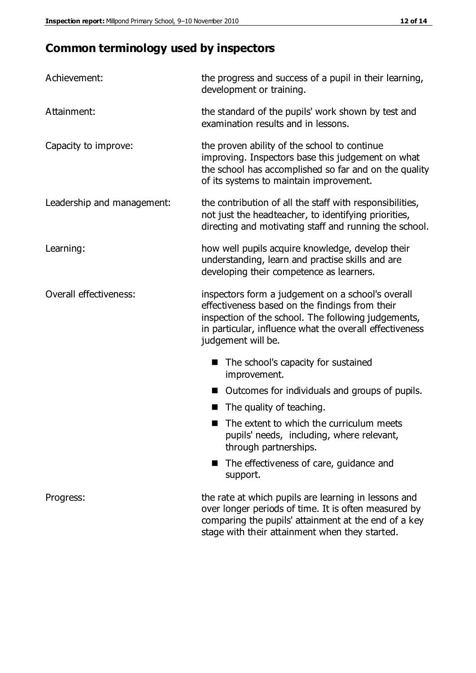# **Common terminology used by inspectors**

| Achievement:                  | the progress and success of a pupil in their learning,<br>development or training.                                                                                                                                                          |  |  |
|-------------------------------|---------------------------------------------------------------------------------------------------------------------------------------------------------------------------------------------------------------------------------------------|--|--|
| Attainment:                   | the standard of the pupils' work shown by test and<br>examination results and in lessons.                                                                                                                                                   |  |  |
| Capacity to improve:          | the proven ability of the school to continue<br>improving. Inspectors base this judgement on what<br>the school has accomplished so far and on the quality<br>of its systems to maintain improvement.                                       |  |  |
| Leadership and management:    | the contribution of all the staff with responsibilities,<br>not just the headteacher, to identifying priorities,<br>directing and motivating staff and running the school.                                                                  |  |  |
| Learning:                     | how well pupils acquire knowledge, develop their<br>understanding, learn and practise skills and are<br>developing their competence as learners.                                                                                            |  |  |
| <b>Overall effectiveness:</b> | inspectors form a judgement on a school's overall<br>effectiveness based on the findings from their<br>inspection of the school. The following judgements,<br>in particular, influence what the overall effectiveness<br>judgement will be. |  |  |
|                               | The school's capacity for sustained<br>improvement.                                                                                                                                                                                         |  |  |
|                               | Outcomes for individuals and groups of pupils.                                                                                                                                                                                              |  |  |
|                               | The quality of teaching.                                                                                                                                                                                                                    |  |  |
|                               | The extent to which the curriculum meets<br>pupils' needs, including, where relevant,<br>through partnerships.                                                                                                                              |  |  |
|                               | The effectiveness of care, guidance and<br>support.                                                                                                                                                                                         |  |  |
| Progress:                     | the rate at which pupils are learning in lessons and<br>over longer periods of time. It is often measured by<br>comparing the pupils' attainment at the end of a key                                                                        |  |  |

stage with their attainment when they started.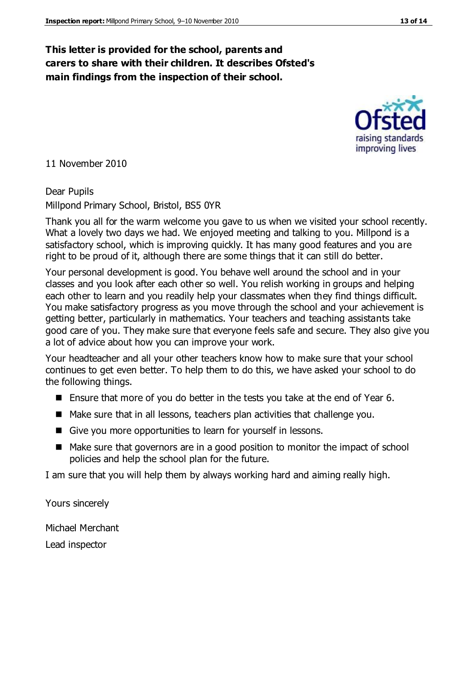#### **This letter is provided for the school, parents and carers to share with their children. It describes Ofsted's main findings from the inspection of their school.**

11 November 2010

Dear Pupils Millpond Primary School, Bristol, BS5 0YR

Thank you all for the warm welcome you gave to us when we visited your school recently. What a lovely two days we had. We enjoyed meeting and talking to you. Millpond is a satisfactory school, which is improving quickly. It has many good features and you are right to be proud of it, although there are some things that it can still do better.

Your personal development is good. You behave well around the school and in your classes and you look after each other so well. You relish working in groups and helping each other to learn and you readily help your classmates when they find things difficult. You make satisfactory progress as you move through the school and your achievement is getting better, particularly in mathematics. Your teachers and teaching assistants take good care of you. They make sure that everyone feels safe and secure. They also give you a lot of advice about how you can improve your work.

Your headteacher and all your other teachers know how to make sure that your school continues to get even better. To help them to do this, we have asked your school to do the following things.

- Ensure that more of you do better in the tests you take at the end of Year 6.
- Make sure that in all lessons, teachers plan activities that challenge you.
- Give you more opportunities to learn for yourself in lessons.
- Make sure that governors are in a good position to monitor the impact of school policies and help the school plan for the future.

I am sure that you will help them by always working hard and aiming really high.

Yours sincerely

Michael Merchant Lead inspector